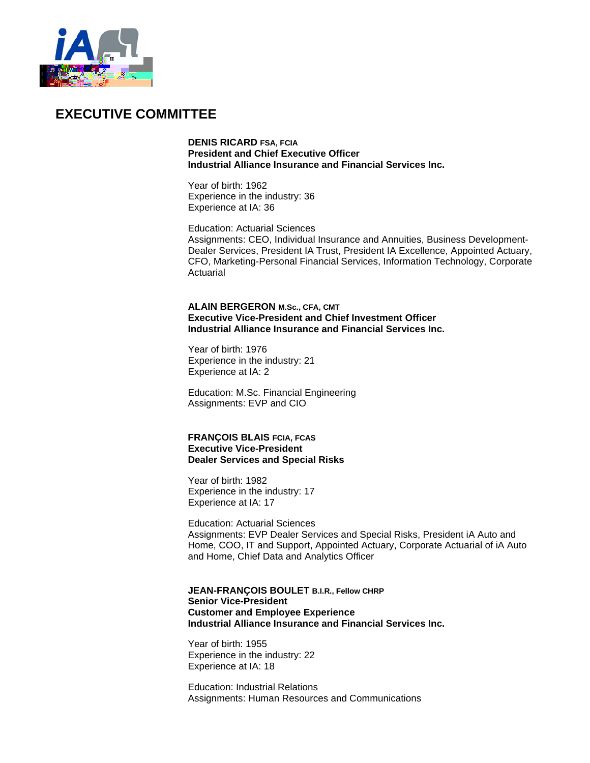

## **EXECUTIVE COMMITTEE**

**DENIS RICARD FSA, FCIA President and Chief Executive Officer Industrial Alliance Insurance and Financial Services Inc.**

Year of birth: 1962 Experience in the industry: 36 Experience at IA: 36

Education: Actuarial Sciences Assignments: CEO, Individual Insurance and Annuities, Business Development-Dealer Services, President IA Trust, President IA Excellence, Appointed Actuary, CFO, Marketing-Personal Financial Services, Information Technology, Corporate Actuarial

**ALAIN BERGERON M.Sc., CFA, CMT Executive Vice-President and Chief Investment Officer Industrial Alliance Insurance and Financial Services Inc.**

Year of birth: 1976 Experience in the industry: 21 Experience at IA: 2

Education: M.Sc. Financial Engineering Assignments: EVP and CIO

**FRANÇOIS BLAIS FCIA, FCAS Executive Vice-President Dealer Services and Special Risks**

Year of birth: 1982 Experience in the industry: 17 Experience at IA: 17

Education: Actuarial Sciences Assignments: EVP Dealer Services and Special Risks, President iA Auto and Home, COO, IT and Support, Appointed Actuary, Corporate Actuarial of iA Auto and Home, Chief Data and Analytics Officer

**JEAN-FRANÇOIS BOULET B.I.R., Fellow CHRP Senior Vice-President Customer and Employee Experience Industrial Alliance Insurance and Financial Services Inc.**

Year of birth: 1955 Experience in the industry: 22 Experience at IA: 18

Education: Industrial Relations Assignments: Human Resources and Communications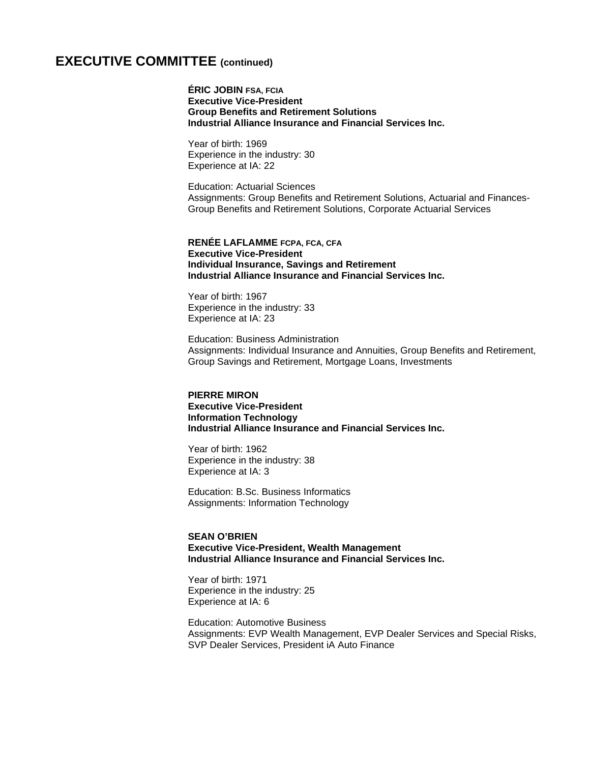### **EXECUTIVE COMMITTEE (continued)**

**ÉRIC JOBIN FSA, FCIA Executive Vice-President Group Benefits and Retirement Solutions Industrial Alliance Insurance and Financial Services Inc.**

Year of birth: 1969 Experience in the industry: 30 Experience at IA: 22

Education: Actuarial Sciences Assignments: Group Benefits and Retirement Solutions, Actuarial and Finances-Group Benefits and Retirement Solutions, Corporate Actuarial Services

**RENÉE LAFLAMME FCPA, FCA, CFA Executive Vice-President Individual Insurance, Savings and Retirement Industrial Alliance Insurance and Financial Services Inc.**

Year of birth: 1967 Experience in the industry: 33 Experience at IA: 23

Education: Business Administration Assignments: Individual Insurance and Annuities, Group Benefits and Retirement, Group Savings and Retirement, Mortgage Loans, Investments

**PIERRE MIRON Executive Vice-President Information Technology Industrial Alliance Insurance and Financial Services Inc.**

Year of birth: 1962 Experience in the industry: 38 Experience at IA: 3

Education: B.Sc. Business Informatics Assignments: Information Technology

#### **SEAN O'BRIEN Executive Vice-President, Wealth Management Industrial Alliance Insurance and Financial Services Inc.**

Year of birth: 1971 Experience in the industry: 25 Experience at IA: 6

Education: Automotive Business Assignments: EVP Wealth Management, EVP Dealer Services and Special Risks, SVP Dealer Services, President iA Auto Finance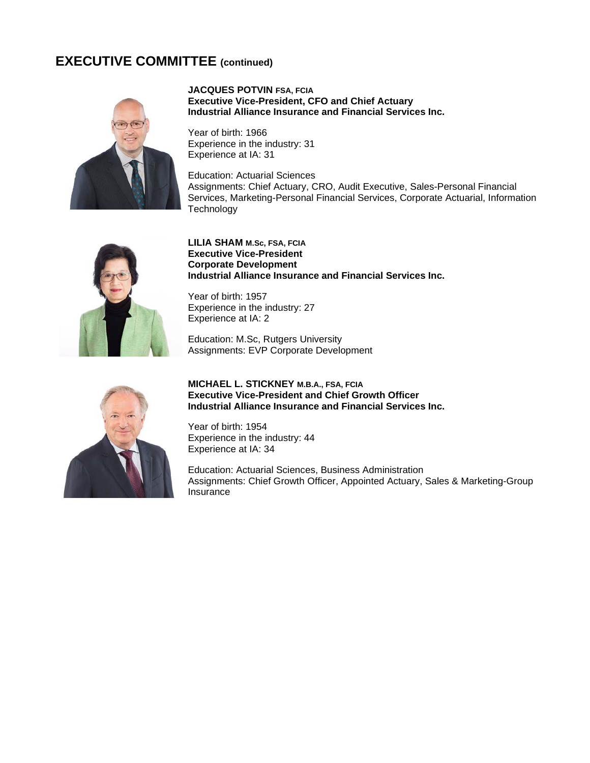## **EXECUTIVE COMMITTEE (continued)**



#### **JACQUES POTVIN FSA, FCIA Executive Vice-President, CFO and Chief Actuary Industrial Alliance Insurance and Financial Services Inc.**

Year of birth: 1966 Experience in the industry: 31 Experience at IA: 31

Education: Actuarial Sciences Assignments: Chief Actuary, CRO, Audit Executive, Sales-Personal Financial Services, Marketing-Personal Financial Services, Corporate Actuarial, Information **Technology** 



#### **LILIA SHAM M.Sc, FSA, FCIA Executive Vice-President Corporate Development Industrial Alliance Insurance and Financial Services Inc.**

Year of birth: 1957 Experience in the industry: 27 Experience at IA: 2

Education: M.Sc, Rutgers University Assignments: EVP Corporate Development



#### **MICHAEL L. STICKNEY M.B.A., FSA, FCIA Executive Vice-President and Chief Growth Officer Industrial Alliance Insurance and Financial Services Inc.**

Year of birth: 1954 Experience in the industry: 44 Experience at IA: 34

Education: Actuarial Sciences, Business Administration Assignments: Chief Growth Officer, Appointed Actuary, Sales & Marketing-Group Insurance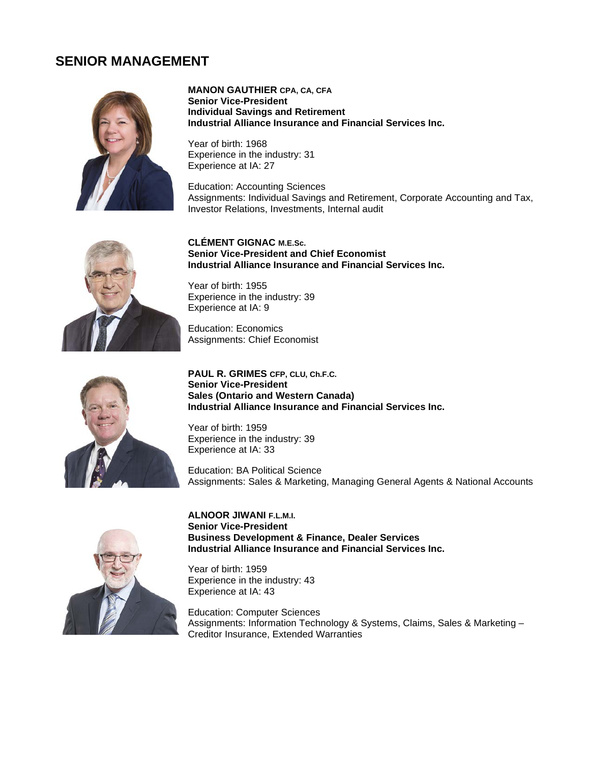### **SENIOR MANAGEMENT**



**MANON GAUTHIER CPA, CA, CFA Senior Vice-President Individual Savings and Retirement Industrial Alliance Insurance and Financial Services Inc.**

Year of birth: 1968 Experience in the industry: 31 Experience at IA: 27

Education: Accounting Sciences Assignments: Individual Savings and Retirement, Corporate Accounting and Tax, Investor Relations, Investments, Internal audit



**CLÉMENT GIGNAC M.E.Sc. Senior Vice-President and Chief Economist Industrial Alliance Insurance and Financial Services Inc.**

Year of birth: 1955 Experience in the industry: 39 Experience at IA: 9

Education: Economics Assignments: Chief Economist



**PAUL R. GRIMES CFP, CLU, Ch.F.C. Senior Vice-President Sales (Ontario and Western Canada) Industrial Alliance Insurance and Financial Services Inc.**

Year of birth: 1959 Experience in the industry: 39 Experience at IA: 33

Education: BA Political Science Assignments: Sales & Marketing, Managing General Agents & National Accounts



**ALNOOR JIWANI F.L.M.I. Senior Vice-President Business Development & Finance, Dealer Services Industrial Alliance Insurance and Financial Services Inc.**

Year of birth: 1959 Experience in the industry: 43 Experience at IA: 43

Education: Computer Sciences Assignments: Information Technology & Systems, Claims, Sales & Marketing – Creditor Insurance, Extended Warranties